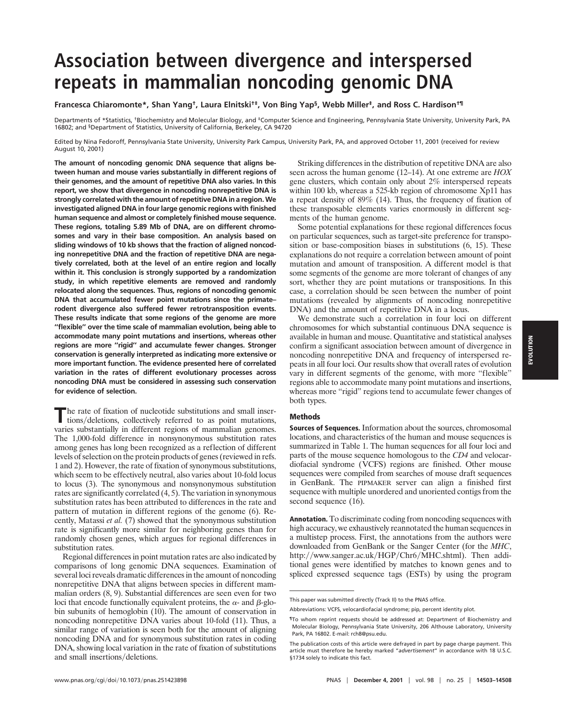# **Association between divergence and interspersed repeats in mammalian noncoding genomic DNA**

## **Francesca Chiaromonte\*, Shan Yang†, Laura Elnitski†‡, Von Bing Yap§, Webb Miller‡, and Ross C. Hardison†¶**

Departments of \*Statistics, †Biochemistry and Molecular Biology, and ‡Computer Science and Engineering, Pennsylvania State University, University Park, PA 16802; and §Department of Statistics, University of California, Berkeley, CA 94720

Edited by Nina Fedoroff, Pennsylvania State University, University Park Campus, University Park, PA, and approved October 11, 2001 (received for review August 10, 2001)

**The amount of noncoding genomic DNA sequence that aligns between human and mouse varies substantially in different regions of their genomes, and the amount of repetitive DNA also varies. In this report, we show that divergence in noncoding nonrepetitive DNA is strongly correlated with the amount of repetitive DNA in a region. We investigated aligned DNA in four large genomic regions with finished human sequence and almost or completely finished mouse sequence. These regions, totaling 5.89 Mb of DNA, are on different chromosomes and vary in their base composition. An analysis based on sliding windows of 10 kb shows that the fraction of aligned noncoding nonrepetitive DNA and the fraction of repetitive DNA are negatively correlated, both at the level of an entire region and locally within it. This conclusion is strongly supported by a randomization study, in which repetitive elements are removed and randomly relocated along the sequences. Thus, regions of noncoding genomic DNA that accumulated fewer point mutations since the primate– rodent divergence also suffered fewer retrotransposition events. These results indicate that some regions of the genome are more ''flexible'' over the time scale of mammalian evolution, being able to accommodate many point mutations and insertions, whereas other regions are more ''rigid'' and accumulate fewer changes. Stronger conservation is generally interpreted as indicating more extensive or more important function. The evidence presented here of correlated variation in the rates of different evolutionary processes across noncoding DNA must be considered in assessing such conservation for evidence of selection.**

**T**he rate of fixation of nucleotide substitutions and small inser-<br>tions/deletions collective tions/deletions, collectively referred to as point mutations, varies substantially in different regions of mammalian genomes. The 1,000-fold difference in nonsynonymous substitution rates among genes has long been recognized as a reflection of different levels of selection on the protein products of genes (reviewed in refs. 1 and 2). However, the rate of fixation of synonymous substitutions, which seem to be effectively neutral, also varies about 10-fold locus to locus (3). The synonymous and nonsynonymous substitution rates are significantly correlated (4, 5). The variation in synonymous substitution rates has been attributed to differences in the rate and pattern of mutation in different regions of the genome (6). Recently, Matassi *et al.* (7) showed that the synonymous substitution rate is significantly more similar for neighboring genes than for randomly chosen genes, which argues for regional differences in substitution rates.

Regional differences in point mutation rates are also indicated by comparisons of long genomic DNA sequences. Examination of several loci reveals dramatic differences in the amount of noncoding nonrepetitive DNA that aligns between species in different mammalian orders (8, 9). Substantial differences are seen even for two loci that encode functionally equivalent proteins, the  $\alpha$ - and  $\beta$ -globin subunits of hemoglobin (10). The amount of conservation in noncoding nonrepetitive DNA varies about 10-fold (11). Thus, a similar range of variation is seen both for the amount of aligning noncoding DNA and for synonymous substitution rates in coding DNA, showing local variation in the rate of fixation of substitutions and small insertions/deletions.

Striking differences in the distribution of repetitive DNA are also seen across the human genome (12–14). At one extreme are *HOX* gene clusters, which contain only about 2% interspersed repeats within 100 kb, whereas a 525-kb region of chromosome Xp11 has a repeat density of 89% (14). Thus, the frequency of fixation of these transposable elements varies enormously in different segments of the human genome.

Some potential explanations for these regional differences focus on particular sequences, such as target-site preference for transposition or base-composition biases in substitutions (6, 15). These explanations do not require a correlation between amount of point mutation and amount of transposition. A different model is that some segments of the genome are more tolerant of changes of any sort, whether they are point mutations or transpositions. In this case, a correlation should be seen between the number of point mutations (revealed by alignments of noncoding nonrepetitive DNA) and the amount of repetitive DNA in a locus.

We demonstrate such a correlation in four loci on different chromosomes for which substantial continuous DNA sequence is available in human and mouse. Quantitative and statistical analyses confirm a significant association between amount of divergence in noncoding nonrepetitive DNA and frequency of interspersed repeats in all four loci. Our results show that overall rates of evolution vary in different segments of the genome, with more ''flexible'' regions able to accommodate many point mutations and insertions, whereas more "rigid" regions tend to accumulate fewer changes of both types.

#### **Methods**

**Sources of Sequences.** Information about the sources, chromosomal locations, and characteristics of the human and mouse sequences is summarized in Table 1. The human sequences for all four loci and parts of the mouse sequence homologous to the *CD4* and velocardiofacial syndrome (VCFS) regions are finished. Other mouse sequences were compiled from searches of mouse draft sequences in GenBank. The PIPMAKER server can align a finished first sequence with multiple unordered and unoriented contigs from the second sequence (16).

**Annotation.** To discriminate coding from noncoding sequences with high accuracy, we exhaustively reannotated the human sequences in a multistep process. First, the annotations from the authors were downloaded from GenBank or the Sanger Center (for the *MHC*, http://www.sanger.ac.uk/HGP/Chr6/MHC.shtml). Then additional genes were identified by matches to known genes and to spliced expressed sequence tags (ESTs) by using the program

This paper was submitted directly (Track II) to the PNAS office.

Abbreviations: VCFS, velocardiofacial syndrome; pip, percent identity plot.

<sup>¶</sup>To whom reprint requests should be addressed at: Department of Biochemistry and Molecular Biology, Pennsylvania State University, 206 Althouse Laboratory, University Park, PA 16802. E-mail: rch8@psu.edu.

The publication costs of this article were defrayed in part by page charge payment. This article must therefore be hereby marked "*advertisement*" in accordance with 18 U.S.C. §1734 solely to indicate this fact.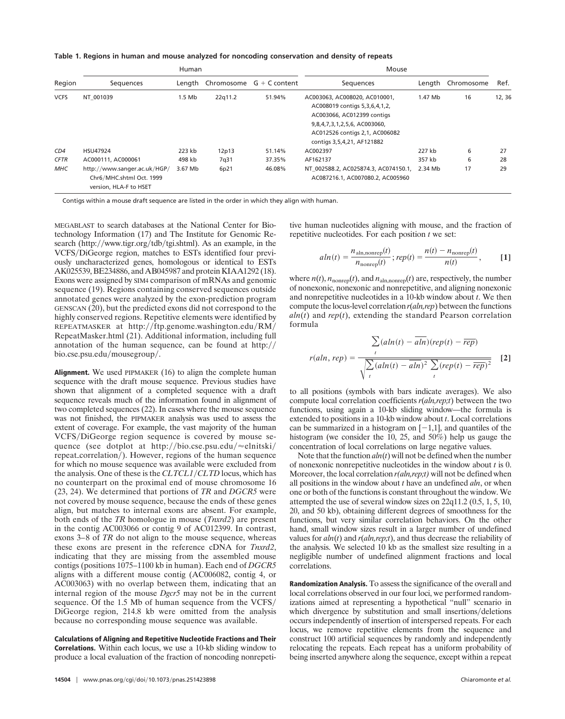**Table 1. Regions in human and mouse analyzed for noncoding conservation and density of repeats**

| Region      |                                                                                    | Human   |         |                                   | Mouse                                                                                                                                                                                        |         |                   |        |
|-------------|------------------------------------------------------------------------------------|---------|---------|-----------------------------------|----------------------------------------------------------------------------------------------------------------------------------------------------------------------------------------------|---------|-------------------|--------|
|             | Sequences                                                                          |         |         | Length Chromosome $G + C$ content | Sequences                                                                                                                                                                                    |         | Length Chromosome | Ref.   |
| <b>VCFS</b> | NT 001039                                                                          | I.5 Mb  | 22g11.2 | 51.94%                            | AC003063, AC008020, AC010001,<br>AC008019 contigs 5,3,6,4,1,2,<br>AC003066, AC012399 contigs<br>9,8,4,7,3,1,2,5,6, AC003060,<br>AC012526 contigs 2,1, AC006082<br>contigs 3,5,4,21, AF121882 | 1.47 Mb | 16                | 12, 36 |
| CD4         | <b>HSU47924</b>                                                                    | 223 kb  | 12p13   | 51.14%                            | AC002397                                                                                                                                                                                     | 227 kb  | 6                 | 27     |
| <b>CFTR</b> | AC000111, AC000061                                                                 | 498 kb  | 7g31    | 37.35%                            | AF162137                                                                                                                                                                                     | 357 kb  | 6                 | 28     |
| MHC         | http://www.sanger.ac.uk/HGP/<br>Chr6/MHC.shtml Oct. 1999<br>version, HLA-F to HSET | 3.67 Mb | 6p21    | 46.08%                            | NT 002588.2, AC025874.3, AC074150.1,<br>AC087216.1, AC007080.2, AC005960                                                                                                                     | 2.34 Mb | 17                | 29     |

Contigs within a mouse draft sequence are listed in the order in which they align with human.

MEGABLAST to search databases at the National Center for Biotechnology Information (17) and The Institute for Genomic Research (http://www.tigr.org/tdb/tgi.shtml). As an example, in the VCFS/DiGeorge region, matches to ESTs identified four previously uncharacterized genes, homologous or identical to ESTs AK025539, BE234886, and AB045987 and protein KIAA1292 (18). Exons were assigned by SIM4 comparison of mRNAs and genomic sequence (19). Regions containing conserved sequences outside annotated genes were analyzed by the exon-prediction program GENSCAN (20), but the predicted exons did not correspond to the highly conserved regions. Repetitive elements were identified by REPEATMASKER at http://ftp.genome.washington.edu/RM/ RepeatMasker.html (21). Additional information, including full annotation of the human sequence, can be found at http: bio.cse.psu.edu/mousegroup/.

**Alignment.** We used PIPMAKER (16) to align the complete human sequence with the draft mouse sequence. Previous studies have shown that alignment of a completed sequence with a draft sequence reveals much of the information found in alignment of two completed sequences (22). In cases where the mouse sequence was not finished, the PIPMAKER analysis was used to assess the extent of coverage. For example, the vast majority of the human VCFS/DiGeorge region sequence is covered by mouse sequence (see dotplot at http://bio.cse.psu.edu/ $\approx$ elnitski/ repeat\_correlation/). However, regions of the human sequence for which no mouse sequence was available were excluded from the analysis. One of these is the *CLTCL1CLTD* locus, which has no counterpart on the proximal end of mouse chromosome 16 (23, 24). We determined that portions of *TR* and *DGCR5* were not covered by mouse sequence, because the ends of these genes align, but matches to internal exons are absent. For example, both ends of the *TR* homologue in mouse (*Tnxrd2*) are present in the contig AC003066 or contig 9 of AC012399. In contrast, exons 3–8 of *TR* do not align to the mouse sequence, whereas these exons are present in the reference cDNA for *Tnxrd2*, indicating that they are missing from the assembled mouse contigs (positions 1075–1100 kb in human). Each end of *DGCR5* aligns with a different mouse contig (AC006082, contig 4, or AC003063) with no overlap between them, indicating that an internal region of the mouse *Dgcr5* may not be in the current sequence. Of the 1.5 Mb of human sequence from the VCFS/ DiGeorge region, 214.8 kb were omitted from the analysis because no corresponding mouse sequence was available.

**Calculations of Aligning and Repetitive Nucleotide Fractions and Their Correlations.** Within each locus, we use a 10-kb sliding window to produce a local evaluation of the fraction of noncoding nonrepeti-

tive human nucleotides aligning with mouse, and the fraction of repetitive nucleotides. For each position *t* we set:

$$
aln(t) = \frac{n_{\text{aln,nonrep}}(t)}{n_{\text{nonrep}}(t)}; rep(t) = \frac{n(t) - n_{\text{nonrep}}(t)}{n(t)},
$$
 [1]

where  $n(t)$ ,  $n_{\text{nonrep}}(t)$ , and  $n_{\text{aln,nonrep}}(t)$  are, respectively, the number of nonexonic, nonexonic and nonrepetitive, and aligning nonexonic and nonrepetitive nucleotides in a 10-kb window about *t*. We then compute the locus-level correlation *r*(*aln,rep*) between the functions  $a ln(t)$  and  $rep(t)$ , extending the standard Pearson correlation formula

$$
r(aln, rep) = \frac{\sum_{t} (aln(t) - \overline{aln})(rep(t) - \overline{rep})}{\sqrt{\sum_{t} (aln(t) - \overline{aln})^2 \sum_{t} (rep(t) - \overline{rep})^2}}
$$
 [2]

to all positions (symbols with bars indicate averages). We also compute local correlation coefficients *r*(*aln,rep;t*) between the two functions, using again a 10-kb sliding window—the formula is extended to positions in a 10-kb window about *t*. Local correlations can be summarized in a histogram on  $[-1,1]$ , and quantiles of the histogram (we consider the 10, 25, and 50%) help us gauge the concentration of local correlations on large negative values.

Note that the function *aln*(*t*) will not be defined when the number of nonexonic nonrepetitive nucleotides in the window about *t* is 0. Moreover, the local correlation *r(aln,rep;t)* will not be defined when all positions in the window about *t* have an undefined *aln*, or when one or both of the functions is constant throughout the window. We attempted the use of several window sizes on 22q11.2 (0.5, 1, 5, 10, 20, and 50 kb), obtaining different degrees of smoothness for the functions, but very similar correlation behaviors. On the other hand, small window sizes result in a larger number of undefined values for *aln*(*t*) and *r*(*aln,rep;t*), and thus decrease the reliability of the analysis. We selected 10 kb as the smallest size resulting in a negligible number of undefined alignment fractions and local correlations.

**Randomization Analysis.** To assess the significance of the overall and local correlations observed in our four loci, we performed randomizations aimed at representing a hypothetical ''null'' scenario in which divergence by substitution and small insertions/deletions occurs independently of insertion of interspersed repeats. For each locus, we remove repetitive elements from the sequence and construct 100 artificial sequences by randomly and independently relocating the repeats. Each repeat has a uniform probability of being inserted anywhere along the sequence, except within a repeat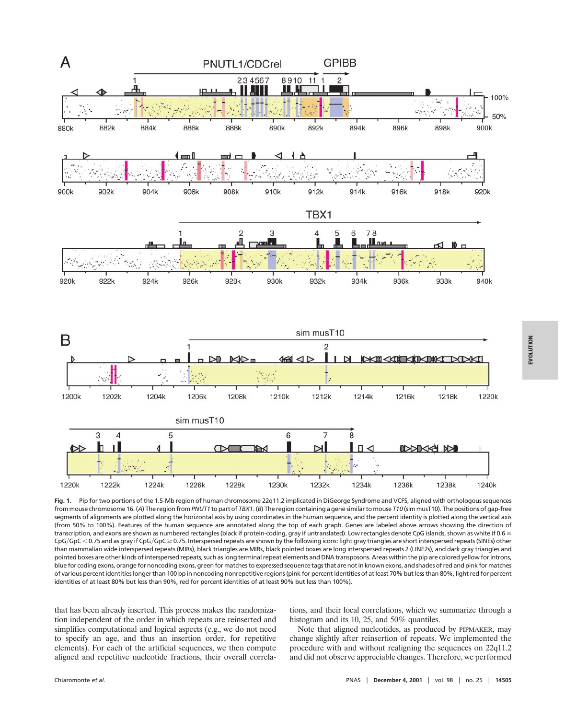

**Fig. 1.** Pip for two portions of the 1.5-Mb region of human chromosome 22q11.2 implicated in DiGeorge Syndrome and VCFS, aligned with orthologous sequences from mouse chromosome 16. (*A*) The region from *PNUT1* to part of *TBX1*. (*B*) The region containing a gene similar to mouse *T10* (sim musT10). The positions of gap-free segments of alignments are plotted along the horizontal axis by using coordinates in the human sequence, and the percent identity is plotted along the vertical axis (from 50% to 100%). Features of the human sequence are annotated along the top of each graph. Genes are labeled above arrows showing the direction of transcription, and exons are shown as numbered rectangles (black if protein-coding, gray if untranslated). Low rectangles denote CpG islands, shown as white if 0.6  $\leq$ CpG/GpC < 0.75 and as gray if CpG/GpC ≥ 0.75. Interspersed repeats are shown by the following icons: light gray triangles are short interspersed repeats (SINEs) other than mammalian wide interspersed repeats (MIRs), black triangles are MIRs, black pointed boxes are long interspersed repeats 2 (LINE2s), and dark gray triangles and pointed boxes are other kinds of interspersed repeats, such as long terminal repeat elements and DNA transposons. Areas within the pip are colored yellow for introns, blue for coding exons, orange for noncoding exons, green for matches to expressed sequence tags that are not in known exons, and shades of red and pink for matches of various percent identities longer than 100 bp in noncoding nonrepetitive regions (pink for percent identities of at least 70% but less than 80%, light red for percent identities of at least 80% but less than 90%, red for percent identities of at least 90% but less than 100%).

that has been already inserted. This process makes the randomization independent of the order in which repeats are reinserted and simplifies computational and logical aspects (e.g., we do not need to specify an age, and thus an insertion order, for repetitive elements). For each of the artificial sequences, we then compute aligned and repetitive nucleotide fractions, their overall correla-

tions, and their local correlations, which we summarize through a histogram and its 10, 25, and 50% quantiles.

Note that aligned nucleotides, as produced by PIPMAKER, may change slightly after reinsertion of repeats. We implemented the procedure with and without realigning the sequences on 22q11.2 and did not observe appreciable changes. Therefore, we performed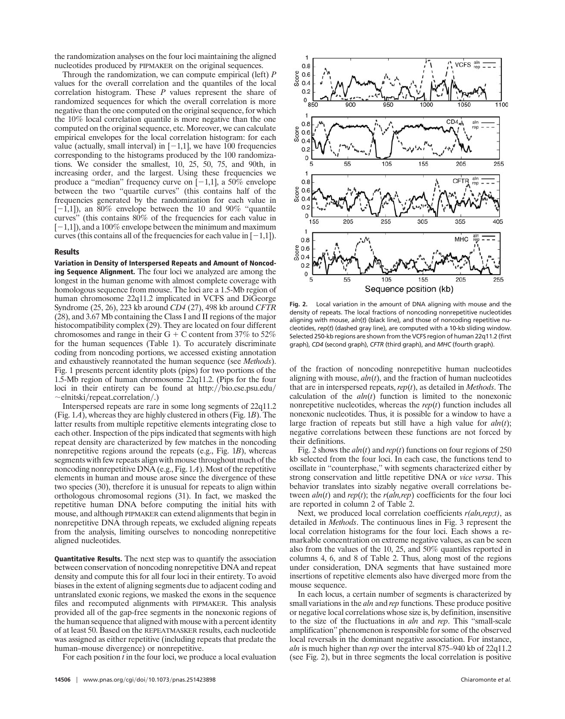the randomization analyses on the four loci maintaining the aligned nucleotides produced by PIPMAKER on the original sequences.

Through the randomization, we can compute empirical (left) *P* values for the overall correlation and the quantiles of the local correlation histogram. These *P* values represent the share of randomized sequences for which the overall correlation is more negative than the one computed on the original sequence, for which the 10% local correlation quantile is more negative than the one computed on the original sequence, etc. Moreover, we can calculate empirical envelopes for the local correlation histogram: for each value (actually, small interval) in  $[-1,1]$ , we have 100 frequencies corresponding to the histograms produced by the 100 randomizations. We consider the smallest, 10, 25, 50, 75, and 90th, in increasing order, and the largest. Using these frequencies we produce a "median" frequency curve on  $[-1,1]$ , a 50% envelope between the two "quartile curves" (this contains half of the frequencies generated by the randomization for each value in  $[-1,1]$ , an 80% envelope between the 10 and 90% "quantile" curves'' (this contains 80% of the frequencies for each value in  $[-1,1]$ , and a 100% envelope between the minimum and maximum curves (this contains all of the frequencies for each value in  $[-1,1]$ ).

#### **Results**

**Variation in Density of Interspersed Repeats and Amount of Noncoding Sequence Alignment.** The four loci we analyzed are among the longest in the human genome with almost complete coverage with homologous sequence from mouse. The loci are a 1.5-Mb region of human chromosome 22q11.2 implicated in VCFS and DiGeorge Syndrome (25, 26), 223 kb around *CD4* (27), 498 kb around *CFTR* (28), and 3.67 Mb containing the Class I and II regions of the major histocompatibility complex (29). They are located on four different chromosomes and range in their  $G + C$  content from 37% to 52% for the human sequences (Table 1). To accurately discriminate coding from noncoding portions, we accessed existing annotation and exhaustively reannotated the human sequence (see *Methods*). Fig. 1 presents percent identity plots (pips) for two portions of the 1.5-Mb region of human chromosome 22q11.2. (Pips for the four loci in their entirety can be found at  $http://bio.cse.psu.edu/$  $\sim$ elnitski/repeat\_correlation/.)

Interspersed repeats are rare in some long segments of 22q11.2 (Fig. 1*A*), whereas they are highly clustered in others (Fig. 1*B*). The latter results from multiple repetitive elements integrating close to each other. Inspection of the pips indicated that segments with high repeat density are characterized by few matches in the noncoding nonrepetitive regions around the repeats (e.g., Fig. 1*B*), whereas segments with few repeats align with mouse throughout much of the noncoding nonrepetitive DNA (e.g., Fig. 1*A*). Most of the repetitive elements in human and mouse arose since the divergence of these two species (30), therefore it is unusual for repeats to align within orthologous chromosomal regions (31). In fact, we masked the repetitive human DNA before computing the initial hits with mouse, and although PIPMAKER can extend alignments that begin in nonrepetitive DNA through repeats, we excluded aligning repeats from the analysis, limiting ourselves to noncoding nonrepetitive aligned nucleotides.

**Quantitative Results.** The next step was to quantify the association between conservation of noncoding nonrepetitive DNA and repeat density and compute this for all four loci in their entirety. To avoid biases in the extent of aligning segments due to adjacent coding and untranslated exonic regions, we masked the exons in the sequence files and recomputed alignments with PIPMAKER. This analysis provided all of the gap-free segments in the nonexonic regions of the human sequence that aligned with mouse with a percent identity of at least 50. Based on the REPEATMASKER results, each nucleotide was assigned as either repetitive (including repeats that predate the human–mouse divergence) or nonrepetitive.

For each position *t* in the four loci, we produce a local evaluation



**Fig. 2.** Local variation in the amount of DNA aligning with mouse and the density of repeats. The local fractions of noncoding nonrepetitive nucleotides aligning with mouse, *aln*(*t*) (black line), and those of noncoding repetitive nucleotides, *rep*(*t*) (dashed gray line), are computed with a 10-kb sliding window. Selected 250-kb regions are shown from the VCFS region of human 22q11.2 (first graph), *CD4* (second graph), *CFTR* (third graph), and *MHC* (fourth graph).

of the fraction of noncoding nonrepetitive human nucleotides aligning with mouse, *aln*(*t*), and the fraction of human nucleotides that are in interspersed repeats, *rep*(*t*), as detailed in *Methods*. The calculation of the *aln*(*t*) function is limited to the nonexonic nonrepetitive nucleotides, whereas the *rep*(*t*) function includes all nonexonic nucleotides. Thus, it is possible for a window to have a large fraction of repeats but still have a high value for  $\frac{d\mathbf{h}(t)}{dt}$ ; negative correlations between these functions are not forced by their definitions.

Fig. 2 shows the *aln*(*t*) and *rep*(*t*) functions on four regions of 250 kb selected from the four loci. In each case, the functions tend to oscillate in ''counterphase,'' with segments characterized either by strong conservation and little repetitive DNA or *vice versa*. This behavior translates into sizably negative overall correlations between *aln*(*t*) and *rep*(*t*); the *r*(*aln,rep*) coefficients for the four loci are reported in column 2 of Table 2.

Next, we produced local correlation coefficients *r(aln,rep;t)*, as detailed in *Methods*. The continuous lines in Fig. 3 represent the local correlation histograms for the four loci. Each shows a remarkable concentration on extreme negative values, as can be seen also from the values of the 10, 25, and 50% quantiles reported in columns 4, 6, and 8 of Table 2. Thus, along most of the regions under consideration, DNA segments that have sustained more insertions of repetitive elements also have diverged more from the mouse sequence.

In each locus, a certain number of segments is characterized by small variations in the *aln* and *rep* functions. These produce positive or negative local correlations whose size is, by definition, insensitive to the size of the fluctuations in *aln* and *rep*. This ''small-scale amplification'' phenomenon is responsible for some of the observed local reversals in the dominant negative association. For instance, *aln* is much higher than *rep* over the interval 875–940 kb of 22q11.2 (see Fig. 2), but in three segments the local correlation is positive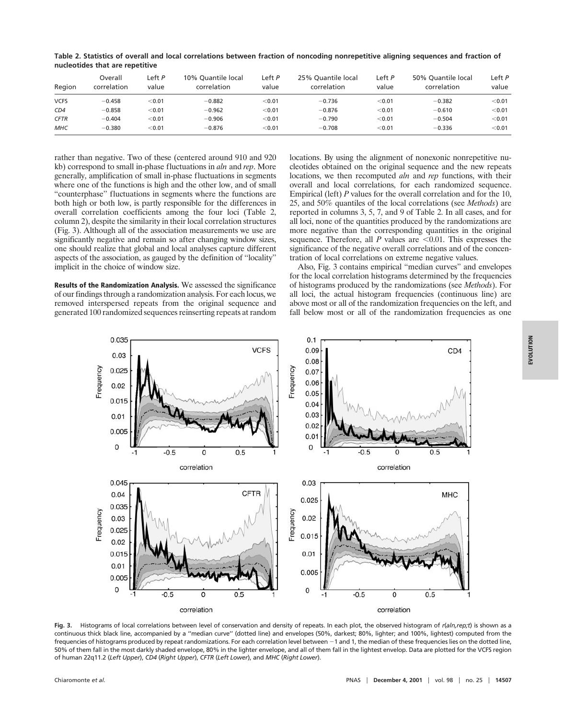| Region      | Overall<br>correlation | Left P<br>value | 10% Quantile local<br>correlation | Left P<br>value | 25% Ouantile local<br>correlation | Left $P$<br>value | 50% Quantile local<br>correlation | Left P<br>value |
|-------------|------------------------|-----------------|-----------------------------------|-----------------|-----------------------------------|-------------------|-----------------------------------|-----------------|
| <b>VCFS</b> | $-0.458$               | < 0.01          | $-0.882$                          | < 0.01          | $-0.736$                          | < 0.01            | $-0.382$                          | < 0.01          |
| CD4         | $-0.858$               | < 0.01          | $-0.962$                          | < 0.01          | $-0.876$                          | < 0.01            | $-0.610$                          | < 0.01          |
| <b>CFTR</b> | $-0.404$               | < 0.01          | $-0.906$                          | < 0.01          | $-0.790$                          | < 0.01            | $-0.504$                          | < 0.01          |
| <b>MHC</b>  | $-0.380$               | < 0.01          | $-0.876$                          | < 0.01          | $-0.708$                          | < 0.01            | $-0.336$                          | < 0.01          |

**Table 2. Statistics of overall and local correlations between fraction of noncoding nonrepetitive aligning sequences and fraction of nucleotides that are repetitive**

rather than negative. Two of these (centered around 910 and 920 kb) correspond to small in-phase fluctuations in *aln* and *rep*. More generally, amplification of small in-phase fluctuations in segments where one of the functions is high and the other low, and of small ''counterphase'' fluctuations in segments where the functions are both high or both low, is partly responsible for the differences in overall correlation coefficients among the four loci (Table 2, column 2), despite the similarity in their local correlation structures (Fig. 3). Although all of the association measurements we use are significantly negative and remain so after changing window sizes, one should realize that global and local analyses capture different aspects of the association, as gauged by the definition of ''locality'' implicit in the choice of window size.

**Results of the Randomization Analysis.** We assessed the significance of our findings through a randomization analysis. For each locus, we removed interspersed repeats from the original sequence and generated 100 randomized sequences reinserting repeats at random locations. By using the alignment of nonexonic nonrepetitive nucleotides obtained on the original sequence and the new repeats locations, we then recomputed *aln* and *rep* functions, with their overall and local correlations, for each randomized sequence. Empirical (left) *P* values for the overall correlation and for the 10, 25, and 50% quantiles of the local correlations (see *Methods*) are reported in columns 3, 5, 7, and 9 of Table 2. In all cases, and for all loci, none of the quantities produced by the randomizations are more negative than the corresponding quantities in the original sequence. Therefore, all  $P$  values are  $\leq 0.01$ . This expresses the significance of the negative overall correlations and of the concentration of local correlations on extreme negative values.

Also, Fig. 3 contains empirical ''median curves'' and envelopes for the local correlation histograms determined by the frequencies of histograms produced by the randomizations (see *Methods*). For all loci, the actual histogram frequencies (continuous line) are above most or all of the randomization frequencies on the left, and fall below most or all of the randomization frequencies as one



**Fig. 3.** Histograms of local correlations between level of conservation and density of repeats. In each plot, the observed histogram of *r*(*aln,rep;t*) is shown as a continuous thick black line, accompanied by a ''median curve'' (dotted line) and envelopes (50%, darkest; 80%, lighter; and 100%, lightest) computed from the frequencies of histograms produced by repeat randomizations. For each correlation level between -1 and 1, the median of these frequencies lies on the dotted line, 50% of them fall in the most darkly shaded envelope, 80% in the lighter envelope, and all of them fall in the lightest envelop. Data are plotted for the VCFS region of human 22q11.2 (*Left Upper*), *CD4* (*Right Upper*), *CFTR* (*Left Lower*), and *MHC* (*Right Lower*).